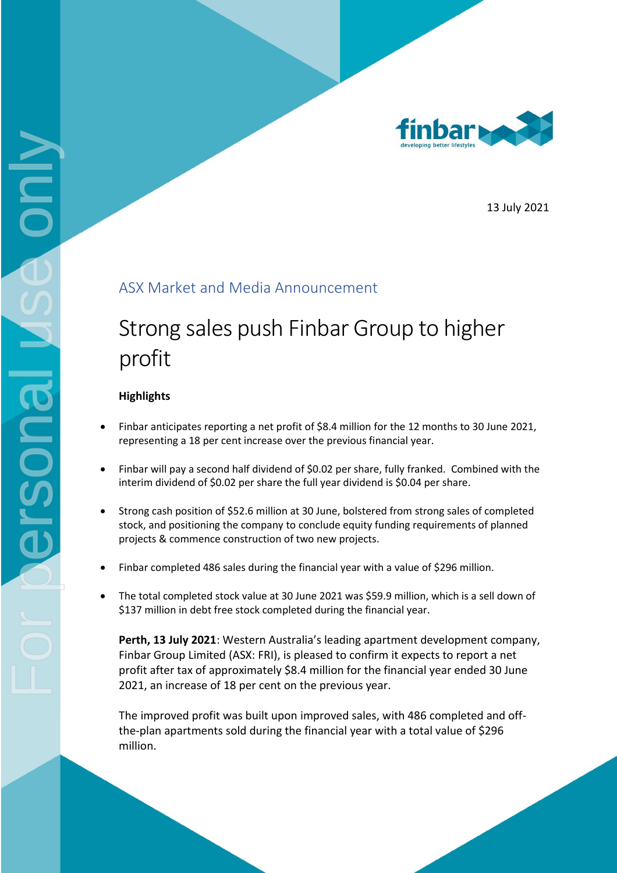

13 July 2021

## ASX Market and Media Announcement

## Strong sales push Finbar Group to higher profit

## **Highlights**

- Finbar anticipates reporting a net profit of \$8.4 million for the 12 months to 30 June 2021, representing a 18 per cent increase over the previous financial year.
- Finbar will pay a second half dividend of \$0.02 per share, fully franked. Combined with the interim dividend of \$0.02 per share the full year dividend is \$0.04 per share.
- Strong cash position of \$52.6 million at 30 June, bolstered from strong sales of completed stock, and positioning the company to conclude equity funding requirements of planned projects & commence construction of two new projects.
- Finbar completed 486 sales during the financial year with a value of \$296 million.
- The total completed stock value at 30 June 2021 was \$59.9 million, which is a sell down of \$137 million in debt free stock completed during the financial year.

**Perth, 13 July 2021**: Western Australia's leading apartment development company, Finbar Group Limited (ASX: FRI), is pleased to confirm it expects to report a net profit after tax of approximately \$8.4 million for the financial year ended 30 June 2021, an increase of 18 per cent on the previous year.

The improved profit was built upon improved sales, with 486 completed and offthe-plan apartments sold during the financial year with a total value of \$296 million.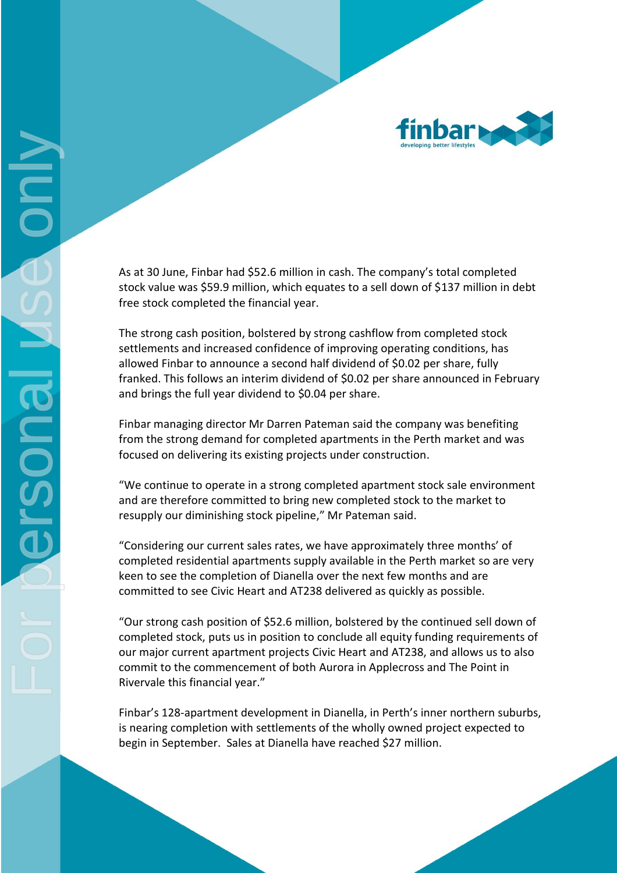

As at 30 June, Finbar had \$52.6 million in cash. The company's total completed stock value was \$59.9 million, which equates to a sell down of \$137 million in debt free stock completed the financial year.

The strong cash position, bolstered by strong cashflow from completed stock settlements and increased confidence of improving operating conditions, has allowed Finbar to announce a second half dividend of \$0.02 per share, fully franked. This follows an interim dividend of \$0.02 per share announced in February and brings the full year dividend to \$0.04 per share.

Finbar managing director Mr Darren Pateman said the company was benefiting from the strong demand for completed apartments in the Perth market and was focused on delivering its existing projects under construction.

"We continue to operate in a strong completed apartment stock sale environment and are therefore committed to bring new completed stock to the market to resupply our diminishing stock pipeline," Mr Pateman said.

"Considering our current sales rates, we have approximately three months' of completed residential apartments supply available in the Perth market so are very keen to see the completion of Dianella over the next few months and are committed to see Civic Heart and AT238 delivered as quickly as possible.

"Our strong cash position of \$52.6 million, bolstered by the continued sell down of completed stock, puts us in position to conclude all equity funding requirements of our major current apartment projects Civic Heart and AT238, and allows us to also commit to the commencement of both Aurora in Applecross and The Point in Rivervale this financial year."

Finbar's 128-apartment development in Dianella, in Perth's inner northern suburbs, is nearing completion with settlements of the wholly owned project expected to begin in September. Sales at Dianella have reached \$27 million.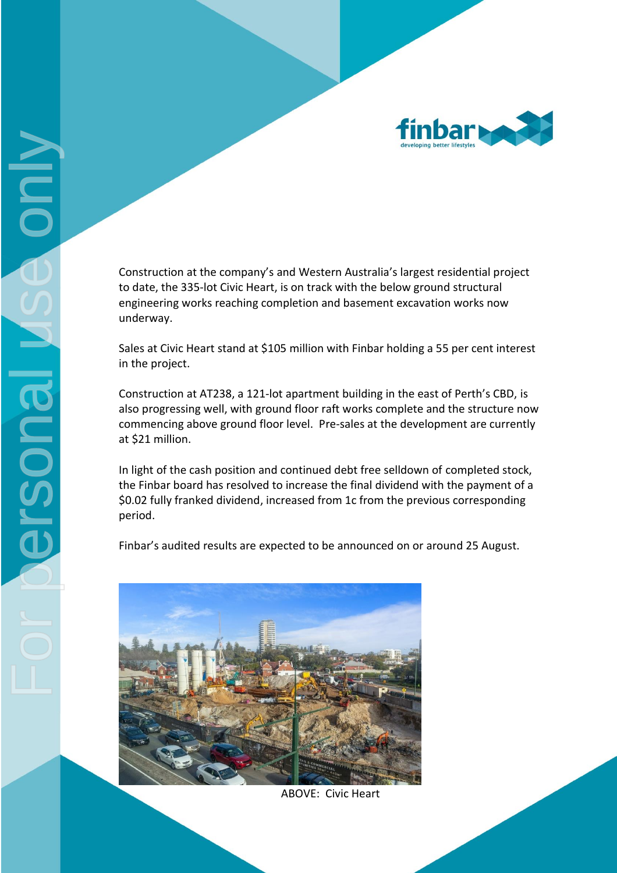

Construction at the company's and Western Australia's largest residential project to date, the 335-lot Civic Heart, is on track with the below ground structural engineering works reaching completion and basement excavation works now underway.

Sales at Civic Heart stand at \$105 million with Finbar holding a 55 per cent interest in the project.

Construction at AT238, a 121-lot apartment building in the east of Perth's CBD, is also progressing well, with ground floor raft works complete and the structure now commencing above ground floor level. Pre-sales at the development are currently at \$21 million.

In light of the cash position and continued debt free selldown of completed stock, the Finbar board has resolved to increase the final dividend with the payment of a \$0.02 fully franked dividend, increased from 1c from the previous corresponding period.

Finbar's audited results are expected to be announced on or around 25 August.



ABOVE: Civic Heart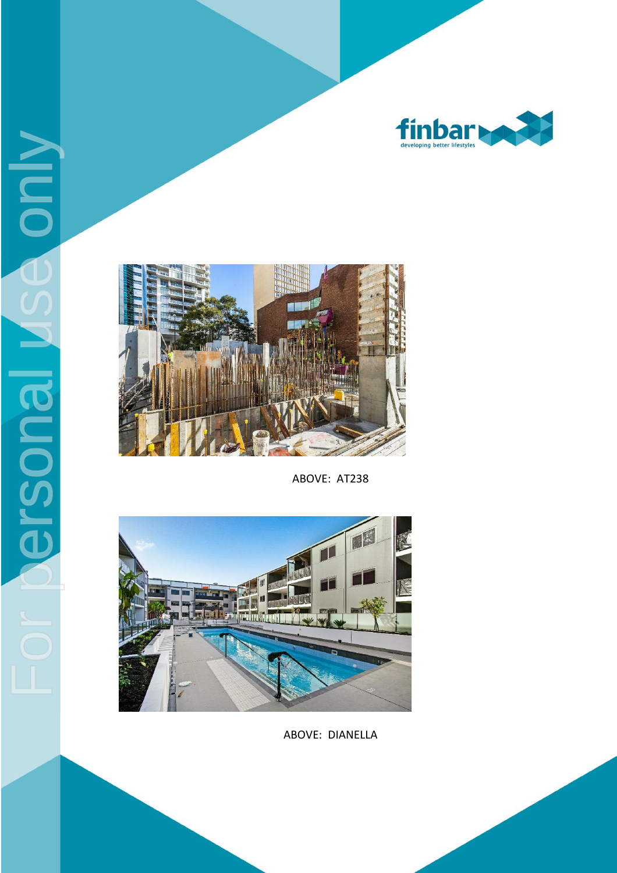



ABOVE: AT238



ABOVE: DIANELLA